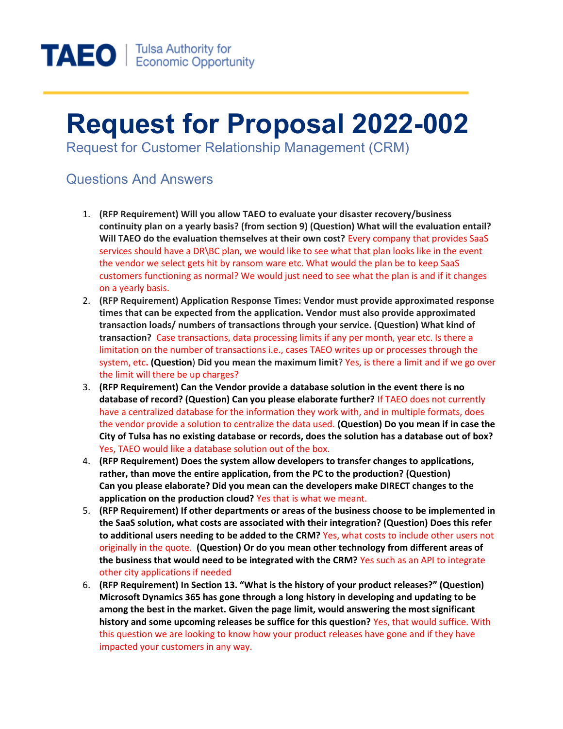

## Request for Proposal 2022-002

Request for Customer Relationship Management (CRM)

## Questions And Answers

- 1. (RFP Requirement) Will you allow TAEO to evaluate your disaster recovery/business continuity plan on a yearly basis? (from section 9) (Question) What will the evaluation entail? Will TAEO do the evaluation themselves at their own cost? Every company that provides SaaS services should have a DR\BC plan, we would like to see what that plan looks like in the event the vendor we select gets hit by ransom ware etc. What would the plan be to keep SaaS customers functioning as normal? We would just need to see what the plan is and if it changes on a yearly basis.
- 2. (RFP Requirement) Application Response Times: Vendor must provide approximated response times that can be expected from the application. Vendor must also provide approximated transaction loads/ numbers of transactions through your service. (Question) What kind of transaction? Case transactions, data processing limits if any per month, year etc. Is there a limitation on the number of transactions i.e., cases TAEO writes up or processes through the system, etc. (Question) Did you mean the maximum limit? Yes, is there a limit and if we go over the limit will there be up charges?
- 3. (RFP Requirement) Can the Vendor provide a database solution in the event there is no database of record? (Question) Can you please elaborate further? If TAEO does not currently have a centralized database for the information they work with, and in multiple formats, does the vendor provide a solution to centralize the data used. (Question) Do you mean if in case the City of Tulsa has no existing database or records, does the solution has a database out of box? Yes, TAEO would like a database solution out of the box.
- 4. (RFP Requirement) Does the system allow developers to transfer changes to applications, rather, than move the entire application, from the PC to the production? (Question) Can you please elaborate? Did you mean can the developers make DIRECT changes to the application on the production cloud? Yes that is what we meant.
- 5. (RFP Requirement) If other departments or areas of the business choose to be implemented in the SaaS solution, what costs are associated with their integration? (Question) Does this refer to additional users needing to be added to the CRM? Yes, what costs to include other users not originally in the quote. (Question) Or do you mean other technology from different areas of the business that would need to be integrated with the CRM? Yes such as an API to integrate other city applications if needed
- 6. (RFP Requirement) In Section 13. "What is the history of your product releases?" (Question) Microsoft Dynamics 365 has gone through a long history in developing and updating to be among the best in the market. Given the page limit, would answering the most significant history and some upcoming releases be suffice for this question? Yes, that would suffice. With this question we are looking to know how your product releases have gone and if they have impacted your customers in any way.